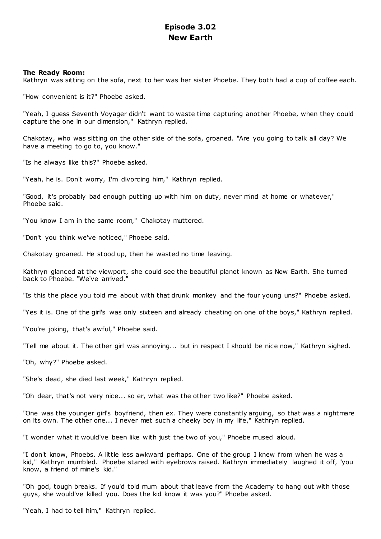# **Episode 3.02 New Earth**

## **The Ready Room:**

Kathryn was sitting on the sofa, next to her was her sister Phoebe. They both had a cup of coffee each.

"How convenient is it?" Phoebe asked.

"Yeah, I guess Seventh Voyager didn't want to waste time capturing another Phoebe, when they could capture the one in our dimension," Kathryn replied.

Chakotay, who was sitting on the other side of the sofa, groaned. "Are you going to talk all day? We have a meeting to go to, you know."

"Is he always like this?" Phoebe asked.

"Yeah, he is. Don't worry, I'm divorcing him," Kathryn replied.

"Good, it's probably bad enough putting up with him on duty, never mind at home or whatever," Phoebe said.

"You know I am in the same room," Chakotay muttered.

"Don't you think we've noticed," Phoebe said.

Chakotay groaned. He stood up, then he wasted no time leaving.

Kathryn glanced at the viewport, she could see the beautiful planet known as New Earth. She turned back to Phoebe. "We've arrived."

"Is this the place you told me about with that drunk monkey and the four young uns?" Phoebe asked.

"Yes it is. One of the girl's was only sixteen and already cheating on one of the boys," Kathryn replied.

"You're joking, that's awful," Phoebe said.

"Tell me about it. The other girl was annoying... but in respect I should be nice now," Kathryn sighed.

"Oh, why?" Phoebe asked.

"She's dead, she died last week," Kathryn replied.

"Oh dear, that's not very nice... so er, what was the other two like?" Phoebe asked.

"One was the younger girl's boyfriend, then ex. They were constantly arguing, so that was a nightmare on its own. The other one... I never met such a cheeky boy in my life," Kathryn replied.

"I wonder what it would've been like with just the two of you," Phoebe mused aloud.

"I don't know, Phoebs. A little less awkward perhaps. One of the group I knew from when he was a kid," Kathryn mumbled. Phoebe stared with eyebrows raised. Kathryn immediately laughed it off, "you know, a friend of mine's kid."

"Oh god, tough breaks. If you'd told mum about that leave from the Academy to hang out with those guys, she would've killed you. Does the kid know it was you?" Phoebe asked.

"Yeah, I had to tell him," Kathryn replied.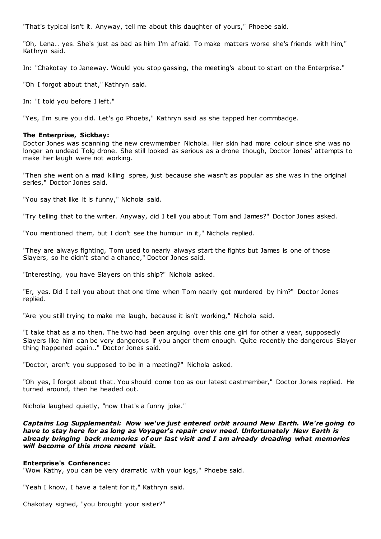"That's typical isn't it. Anyway, tell me about this daughter of yours," Phoebe said.

"Oh, Lena.. yes. She's just as bad as him I'm afraid. To make matters worse she's friends with him," Kathryn said.

In: "Chakotay to Janeway. Would you stop gassing, the meeting's about to st art on the Enterprise."

"Oh I forgot about that," Kathryn said.

In: "I told you before I left."

"Yes, I'm sure you did. Let's go Phoebs," Kathryn said as she tapped her commbadge.

## **The Enterprise, Sickbay:**

Doctor Jones was scanning the new crewmember Nichola. Her skin had more colour since she was no longer an undead Tolg drone. She still looked as serious as a drone though, Doctor Jones' attempts to make her laugh were not working.

"Then she went on a mad killing spree, just because she wasn't as popular as she was in the original series," Doctor Jones said.

"You say that like it is funny," Nichola said.

"Try telling that to the writer. Anyway, did I tell you about Tom and James?" Doctor Jones asked.

"You mentioned them, but I don't see the humour in it," Nichola replied.

"They are always fighting, Tom used to nearly always start the fights but James is one of those Slayers, so he didn't stand a chance," Doctor Jones said.

"Interesting, you have Slayers on this ship?" Nichola asked.

"Er, yes. Did I tell you about that one time when Tom nearly got murdered by him?" Doctor Jones replied.

"Are you still trying to make me laugh, because it isn't working," Nichola said.

"I take that as a no then. The two had been arguing over this one girl for other a year, supposedly Slayers like him can be very dangerous if you anger them enough. Quite recently the dangerous Slayer thing happened again.." Doctor Jones said.

"Doctor, aren't you supposed to be in a meeting?" Nichola asked.

"Oh yes, I forgot about that. You should come too as our latest castmember," Doctor Jones replied. He turned around, then he headed out.

Nichola laughed quietly, "now that's a funny joke."

*Captains Log Supplemental: Now we've just entered orbit around New Earth. We're going to have to stay here for as long as Voyager's repair crew need. Unfortunately New Earth is already bringing back memories of our last visit and I am already dreading what memories will become of this more recent visit.*

## **Enterprise's Conference:**

"Wow Kathy, you can be very dramatic with your logs," Phoebe said.

"Yeah I know, I have a talent for it," Kathryn said.

Chakotay sighed, "you brought your sister?"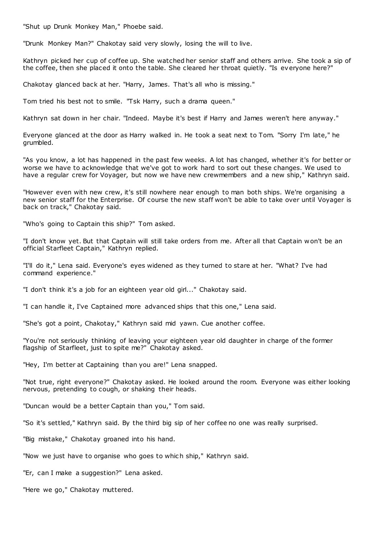"Shut up Drunk Monkey Man," Phoebe said.

"Drunk Monkey Man?" Chakotay said very slowly, losing the will to live.

Kathryn picked her cup of coffee up. She watched her senior staff and others arrive. She took a sip of the coffee, then she placed it onto the table. She cleared her throat quietly. "Is everyone here?"

Chakotay glanced back at her. "Harry, James. That's all who is missing."

Tom tried his best not to smile. "Tsk Harry, such a drama queen."

Kathryn sat down in her chair. "Indeed. Maybe it's best if Harry and James weren't here anyway."

Everyone glanced at the door as Harry walked in. He took a seat next to Tom. "Sorry I'm late," he grumbled.

"As you know, a lot has happened in the past few weeks. A lot has changed, whether it's for better or worse we have to acknowledge that we've got to work hard to sort out these changes. We used to have a regular crew for Voyager, but now we have new crewmembers and a new ship," Kathryn said.

"However even with new crew, it's still nowhere near enough to man both ships. We're organising a new senior staff for the Enterprise. Of course the new staff won't be able to take over until Voyager is back on track," Chakotay said.

"Who's going to Captain this ship?" Tom asked.

"I don't know yet. But that Captain will still take orders from me. After all that Captain w on't be an official Starfleet Captain," Kathryn replied.

"I'll do it," Lena said. Everyone's eyes widened as they turned to stare at her. "What? I've had command experience."

"I don't think it's a job for an eighteen year old girl..." Chakotay said.

"I can handle it, I've Captained more advanced ships that this one," Lena said.

"She's got a point, Chakotay," Kathryn said mid yawn. Cue another coffee.

"You're not seriously thinking of leaving your eighteen year old daughter in charge of the former flagship of Starfleet, just to spite me?" Chakotay asked.

"Hey, I'm better at Captaining than you are!" Lena snapped.

"Not true, right everyone?" Chakotay asked. He looked around the room. Everyone was either looking nervous, pretending to cough, or shaking their heads.

"Duncan would be a better Captain than you," Tom said.

"So it's settled," Kathryn said. By the third big sip of her coffee no one was really surprised.

"Big mistake," Chakotay groaned into his hand.

"Now we just have to organise who goes to which ship," Kathryn said.

"Er, can I make a suggestion?" Lena asked.

"Here we go," Chakotay muttered.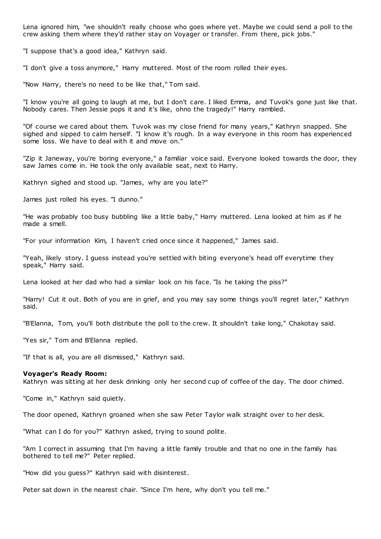Lena ignored him, "we shouldn't really choose who goes where yet. Maybe we could send a poll to the crew asking them where they'd rather stay on Voyager or t ransfer. From there, pick jobs."

"I suppose that's a good idea," Kathryn said.

"I don't give a toss anymore," Harry muttered. Most of the room rolled their eyes.

"Now Harry, there's no need to be like that," Tom said.

"I know you're all going to laugh at me, but I don't care. I liked Emma, and Tuvok's gone just like that. Nobody cares. Then Jessie pops it and it's like, ohno the tragedy!" Harry rambled.

"Of course we cared about them. Tuvok was my close friend for many years," Kathryn snapped. She sighed and sipped to calm herself. "I know it's rough. In a way everyone in this room has experienced some loss. We have to deal with it and move on."

"Zip it Janeway, you're boring everyone," a familiar voice said. Everyone looked towards the door, they saw James come in. He took the only available seat, next to Harry.

Kathryn sighed and stood up. "James, why are you late?"

James just rolled his eyes. "I dunno."

"He was probably too busy bubbling like a little baby," Harry muttered. Lena looked at him as if he made a smell.

"For your information Kim, I haven't cried once since it happened," James said.

"Yeah, likely story. I guess instead you're settled with biting everyone's head off everytime they speak," Harry said.

Lena looked at her dad who had a similar look on his face. "Is he taking the piss?"

"Harry! Cut it out. Both of you are in grief, and you may say some things you'll regret later," Kathryn said.

"B'Elanna, Tom, you'll both distribute the poll to the crew. It shouldn't take long," Chakotay said.

"Yes sir," Tom and B'Elanna replied.

"If that is all, you are all dismissed," Kathryn said.

#### **Voyager's Ready Room:**

Kathryn was sitting at her desk drinking only her second cup of coffee of the day. The door chimed.

"Come in," Kathryn said quietly.

The door opened, Kathryn groaned when she saw Peter Taylor walk straight over to her desk.

"What can I do for you?" Kathryn asked, trying to sound polite.

"Am I correct in assuming that I'm having a little family trouble and that no one in the family has bothered to tell me?" Peter replied.

"How did you guess?" Kathryn said with disinterest.

Peter sat down in the nearest chair. "Since I'm here, why don't you tell me."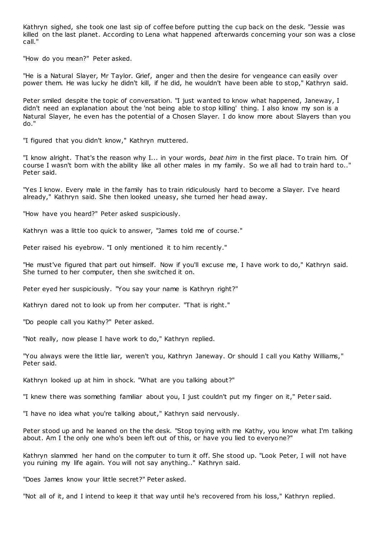Kathryn sighed, she took one last sip of coffee before putting the cup back on the desk. "Jessie was killed on the last planet. According to Lena what happened afterwards concerning your son was a close call."

"How do you mean?" Peter asked.

"He is a Natural Slayer, Mr Taylor. Grief, anger and then the desire for vengeance can easily over power them. He was lucky he didn't kill, if he did, he wouldn't have been able to stop," Kathryn said.

Peter smiled despite the topic of conversation. "I just wanted to know what happened, Janeway, I didn't need an explanation about the 'not being able to stop killing' thing. I also know my son is a Natural Slayer, he even has the potential of a Chosen Slayer. I do know more about Slayers than you do."

"I figured that you didn't know," Kathryn muttered.

"I know alright. That's the reason why I... in your words, *beat him* in the first place. To train him. Of course I wasn't born with the ability like all other males in my family. So we all had to train hard to.." Peter said.

"Yes I know. Every male in the family has to train ridiculously hard to become a Slayer. I've heard already," Kathryn said. She then looked uneasy, she turned her head away.

"How have you heard?" Peter asked suspiciously.

Kathryn was a little too quick to answer, "James told me of course."

Peter raised his eyebrow. "I only mentioned it to him recently."

"He must've figured that part out himself. Now if you'll excuse me, I have work to do," Kathryn said. She turned to her computer, then she switched it on.

Peter eyed her suspiciously. "You say your name is Kathryn right?"

Kathryn dared not to look up from her computer. "That is right."

"Do people call you Kathy?" Peter asked.

"Not really, now please I have work to do," Kathryn replied.

"You always were the little liar, weren't you, Kathryn Janeway. Or should I call you Kathy Williams," Peter said.

Kathryn looked up at him in shock. "What are you talking about?"

"I knew there was something familiar about you, I just couldn't put my finger on it," Peter said.

"I have no idea what you're talking about," Kathryn said nervously.

Peter stood up and he leaned on the the desk. "Stop toying with me Kathy, you know what I'm talking about. Am I the only one who's been left out of this, or have you lied to everyone?"

Kathryn slammed her hand on the computer to turn it off. She stood up. "Look Peter, I will not have you ruining my life again. You will not say anything.." Kathryn said.

"Does James know your little secret?" Peter asked.

"Not all of it, and I intend to keep it that way until he's recovered from his loss," Kathryn replied.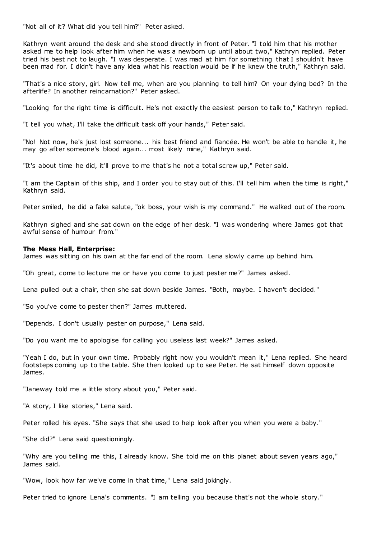"Not all of it? What did you tell him?" Peter asked.

Kathryn went around the desk and she stood directly in front of Peter. "I told him that his mother asked me to help look after him when he was a newborn up until about two," Kathryn replied. Peter tried his best not to laugh. "I was desperate. I was mad at him for something that I shouldn't have been mad for. I didn't have any idea what his reaction would be if he knew the truth," Kathryn said.

"That's a nice story, girl. Now tell me, when are you planning to tell him? On your dying bed? In the afterlife? In another reincarnation?" Peter asked.

"Looking for the right time is difficult. He's not exactly the easiest person to talk to," Kathryn replied.

"I tell you what, I'll take the difficult task off your hands," Peter said.

"No! Not now, he's just lost someone... his best friend and fiancée. He won't be able to handle it, he may go after someone's blood again... most likely mine," Kathryn said.

"It's about time he did, it'll prove to me that's he not a total screw up," Peter said.

"I am the Captain of this ship, and I order you to stay out of this. I'll tell him when the time is right," Kathryn said.

Peter smiled, he did a fake salute, "ok boss, your wish is my command." He walked out of the room.

Kathryn sighed and she sat down on the edge of her desk. "I was wondering where James got that awful sense of humour from."

#### **The Mess Hall, Enterprise:**

James was sitting on his own at the far end of the room. Lena slowly came up behind him.

"Oh great, come to lecture me or have you come to just pester me?" James asked.

Lena pulled out a chair, then she sat down beside James. "Both, maybe. I haven't decided."

"So you've come to pester then?" James muttered.

"Depends. I don't usually pester on purpose," Lena said.

"Do you want me to apologise for calling you useless last week?" James asked.

"Yeah I do, but in your own time. Probably right now you wouldn't mean it," Lena replied. She heard footsteps coming up to the table. She then looked up to see Peter. He sat himself down opposite James.

"Janeway told me a little story about you," Peter said.

"A story, I like stories," Lena said.

Peter rolled his eyes. "She says that she used to help look after you when you were a baby."

"She did?" Lena said questioningly.

"Why are you telling me this, I already know. She told me on this planet about seven years ago," James said.

"Wow, look how far we've come in that time," Lena said jokingly.

Peter tried to ignore Lena's comments. "I am telling you because that's not the whole story."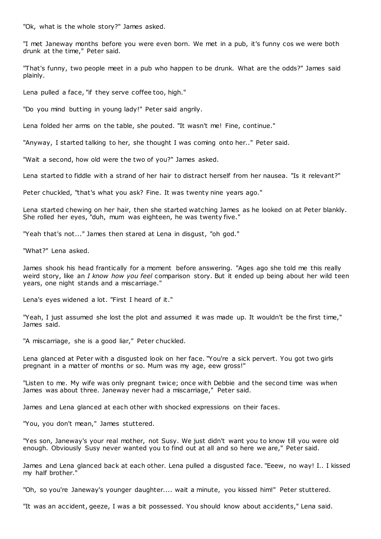"Ok, what is the whole story?" James asked.

"I met Janeway months before you were even born. We met in a pub, it's funny cos we were both drunk at the time," Peter said.

"That's funny, two people meet in a pub who happen to be drunk. What are the odds?" James said plainly.

Lena pulled a face, "if they serve coffee too, high."

"Do you mind butting in young lady!" Peter said angrily.

Lena folded her arms on the table, she pouted. "It wasn't me! Fine, continue."

"Anyway, I started talking to her, she thought I was coming onto her.." Peter said.

"Wait a second, how old were the two of you?" James asked.

Lena started to fiddle with a strand of her hair to distract herself from her nausea. "Is it relevant?"

Peter chuckled, "that's what you ask? Fine. It was twenty nine years ago."

Lena started chewing on her hair, then she started watching James as he looked on at Peter blankly. She rolled her eyes, "duh, mum was eighteen, he was twenty five."

"Yeah that's not..." James then stared at Lena in disgust, "oh god."

"What?" Lena asked.

James shook his head frantically for a moment before answering. "Ages ago she told me this really weird story, like an *I know how you feel* comparison story. But it ended up being about her wild teen years, one night stands and a miscarriage."

Lena's eyes widened a lot. "First I heard of it."

"Yeah, I just assumed she lost the plot and assumed it was made up. It wouldn't be the first time," James said.

"A miscarriage, she is a good liar," Peter chuckled.

Lena glanced at Peter with a disgusted look on her face. "You're a sick pervert. You got two girls pregnant in a matter of months or so. Mum was my age, eew gross!"

"Listen to me. My wife was only pregnant twice; once with Debbie and the second time was when James was about three. Janeway never had a miscarriage," Peter said.

James and Lena glanced at each other with shocked expressions on their faces.

"You, you don't mean," James stuttered.

"Yes son, Janeway's your real mother, not Susy. We just didn't want you to know till you were old enough. Obviously Susy never wanted you to find out at all and so here we are," Peter said.

James and Lena glanced back at each other. Lena pulled a disgusted face. "Eeew, no way! I.. I kissed my half brother."

"Oh, so you're Janeway's younger daughter.... wait a minute, you kissed him!" Peter stuttered.

"It was an accident, geeze, I was a bit possessed. You should know about accidents," Lena said.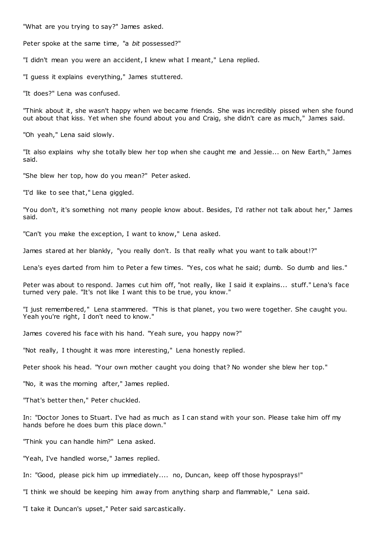"What are you trying to say?" James asked.

Peter spoke at the same time, "a *bit* possessed?"

"I didn't mean you were an accident, I knew what I meant," Lena replied.

"I guess it explains everything," James stuttered.

"It does?" Lena was confused.

"Think about it, she wasn't happy when we became friends. She was incredibly pissed when she found out about that kiss. Yet when she found about you and Craig, she didn't care as much," James said.

"Oh yeah," Lena said slowly.

"It also explains why she totally blew her top when she caught me and Jessie... on New Earth," James said.

"She blew her top, how do you mean?" Peter asked.

"I'd like to see that," Lena giggled.

"You don't, it's something not many people know about. Besides, I'd rather not talk about her," James said.

"Can't you make the exception, I want to know," Lena asked.

James stared at her blankly, "you really don't. Is that really what you want to talk about!?"

Lena's eyes darted from him to Peter a few times. "Yes, cos what he said; dumb. So dumb and lies."

Peter was about to respond. James cut him off, "not really, like I said it explains... stuff." Lena's face turned very pale. "It's not like I want this to be true, you know."

"I just remembered," Lena stammered. "This is that planet, you two were together. She caught you. Yeah you're right, I don't need to know."

James covered his face with his hand. "Yeah sure, you happy now?"

"Not really, I thought it was more interesting," Lena honestly replied.

Peter shook his head. "Your own mother caught you doing that? No wonder she blew her top."

"No, it was the morning after," James replied.

"That's better then," Peter chuckled.

In: "Doctor Jones to Stuart. I've had as much as I can stand with your son. Please take him off my hands before he does burn this place down."

"Think you can handle him?" Lena asked.

"Yeah, I've handled worse," James replied.

In: "Good, please pick him up immediately.... no, Duncan, keep off those hyposprays!"

"I think we should be keeping him away from anything sharp and flammable," Lena said.

"I take it Duncan's upset," Peter said sarcastically.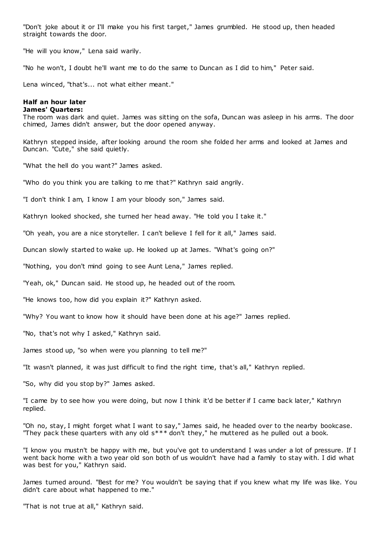"Don't joke about it or I'll make you his first target," James grumbled. He stood up, then headed straight towards the door.

"He will you know," Lena said warily.

"No he won't, I doubt he'll want me to do the same to Duncan as I did to him," Peter said.

Lena winced, "that's... not what either meant."

#### **Half an hour later James' Quarters:**

The room was dark and quiet. James was sitting on the sofa, Duncan was asleep in his arms. The door chimed, James didn't answer, but the door opened anyway.

Kathryn stepped inside, after looking around the room she folded her arms and looked at James and Duncan. "Cute," she said quietly.

"What the hell do you want?" James asked.

"Who do you think you are talking to me that?" Kathryn said angrily.

"I don't think I am, I know I am your bloody son," James said.

Kathryn looked shocked, she turned her head away. "He told you I take it."

"Oh yeah, you are a nice storyteller. I can't believe I fell for it all," James said.

Duncan slowly started to wake up. He looked up at James. "What's going on?"

"Nothing, you don't mind going to see Aunt Lena," James replied.

"Yeah, ok," Duncan said. He stood up, he headed out of the room.

"He knows too, how did you explain it?" Kathryn asked.

"Why? You want to know how it should have been done at his age?" James replied.

"No, that's not why I asked," Kathryn said.

James stood up, "so when were you planning to tell me?"

"It wasn't planned, it was just difficult to find the right time, that's all," Kathryn replied.

"So, why did you stop by?" James asked.

"I came by to see how you were doing, but now I think it'd be better if I came back later," Kathryn replied.

"Oh no, stay, I might forget what I want to say," James said, he headed over to the nearby bookcase. "They pack these quarters with any old s\*\*\* don't they," he muttered as he pulled out a book.

"I know you mustn't be happy with me, but you've got to understand I was under a lot of pressure. If I went back home with a two year old son both of us wouldn't have had a family to stay with. I did what was best for you," Kathryn said.

James turned around. "Best for me? You wouldn't be saying that if you knew what my life was like. You didn't care about what happened to me."

"That is not true at all," Kathryn said.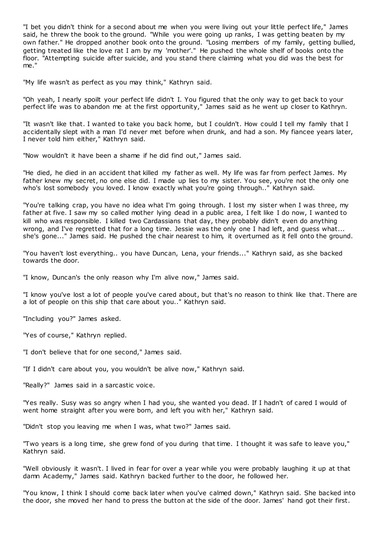"I bet you didn't think for a second about me when you were living out your little perfect life," James said, he threw the book to the ground. "While you were going up ranks, I was getting beaten by my own father." He dropped another book onto the ground. "Losing members of my family, getting bullied, getting treated like the love rat I am by my 'mother'." He pushed the whole shelf of books onto the floor. "Attempting suicide after suicide, and you stand there claiming what you did was the best for me."

"My life wasn't as perfect as you may think," Kathryn said.

"Oh yeah, I nearly spoilt your perfect life didn't I. You figured that the only way to get back to your perfect life was to abandon me at the first opportunity," James said as he went up closer to Kathryn.

"It wasn't like that. I wanted to take you back home, but I couldn't. How could I tell my family that I accidentally slept with a man I'd never met before when drunk, and had a son. My fiancee years later, I never told him either," Kathryn said.

"Now wouldn't it have been a shame if he did find out," James said.

"He died, he died in an accident that killed my father as well. My life was far from perfect James. My father knew my secret, no one else did. I made up lies to my sister. You see, you're not the only one who's lost somebody you loved. I know exactly what you're going through.." Kathryn said.

"You're talking crap, you have no idea what I'm going through. I lost my sister when I was three, my father at five. I saw my so called mother lying dead in a public area, I felt like I do now, I wanted to kill who was responsible. I killed two Cardassians that day, they probably didn't even do anything wrong, and I've regretted that for a long time. Jessie was the only one I had left, and guess what... she's gone..." James said. He pushed the chair nearest to him, it overturned as it fell onto the ground.

"You haven't lost everything.. you have Duncan, Lena, your friends..." Kathryn said, as she backed towards the door.

"I know, Duncan's the only reason why I'm alive now," James said.

"I know you've lost a lot of people you've cared about, but that's no reason to think like that. There are a lot of people on this ship that care about you.." Kathryn said.

"Including you?" James asked.

"Yes of course," Kathryn replied.

"I don't believe that for one second," James said.

"If I didn't care about you, you wouldn't be alive now," Kathryn said.

"Really?" James said in a sarcastic voice.

"Yes really. Susy was so angry when I had you, she wanted you dead. If I hadn't of cared I would of went home straight after you were born, and left you with her," Kathryn said.

"Didn't stop you leaving me when I was, what two?" James said.

"Two years is a long time, she grew fond of you during that time. I thought it was safe to leave you," Kathryn said.

"Well obviously it wasn't. I lived in fear for over a year while you were probably laughing it up at that damn Academy," James said. Kathryn backed further to the door, he followed her.

"You know, I think I should come back later when you've calmed down," Kathryn said. She backed into the door, she moved her hand to press the button at the side of the door. James' hand got their first.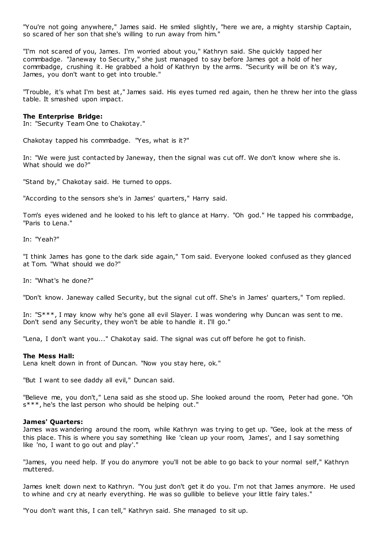"You're not going anywhere," James said. He smiled slightly, "here we are, a mighty starship Captain, so scared of her son that she's willing to run away from him."

"I'm not scared of you, James. I'm worried about you," Kathryn said. She quickly tapped her commbadge. "Janeway to Security," she just managed to say before James got a hold of her commbadge, crushing it. He grabbed a hold of Kathryn by the arms. "Security will be on it's way, James, you don't want to get into trouble."

"Trouble, it's what I'm best at," James said. His eyes turned red again, then he threw her into the glass table. It smashed upon impact.

## **The Enterprise Bridge:**

In: "Security Team One to Chakotay."

Chakotay tapped his commbadge. "Yes, what is it?"

In: "We were just contacted by Janeway, then the signal was cut off. We don't know where she is. What should we do?"

"Stand by," Chakotay said. He turned to opps.

"According to the sensors she's in James' quarters," Harry said.

Tom's eyes widened and he looked to his left to glance at Harry. "Oh god." He tapped his commbadge, "Paris to Lena."

In: "Yeah?"

"I think James has gone to the dark side again," Tom said. Everyone looked confused as they glanced at Tom. "What should we do?"

In: "What's he done?"

"Don't know. Janeway called Security, but the signal cut off. She's in James' quarters," Tom replied.

In: "S\*\*\*, I may know why he's gone all evil Slayer. I was wondering why Duncan was sent to me. Don't send any Security, they won't be able to handle it. I'll go."

"Lena, I don't want you..." Chakotay said. The signal was cut off before he got to finish.

#### **The Mess Hall:**

Lena knelt down in front of Duncan. "Now you stay here, ok."

"But I want to see daddy all evil," Duncan said.

"Believe me, you don't," Lena said as she stood up. She looked around the room, Peter had gone. "Oh s\*\*\*, he's the last person who should be helping out."

#### **James' Quarters:**

James was wandering around the room, while Kathryn was trying to get up. "Gee, look at the mess of this place. This is where you say something like 'clean up your room, James', and I say something like 'no, I want to go out and play'."

"James, you need help. If you do anymore you'll not be able to go back to your normal self," Kathryn muttered.

James knelt down next to Kathryn. "You just don't get it do you. I'm not that James anymore. He used to whine and cry at nearly everything. He was so gullible to believe your little fairy tales."

"You don't want this, I can tell," Kathryn said. She managed to sit up.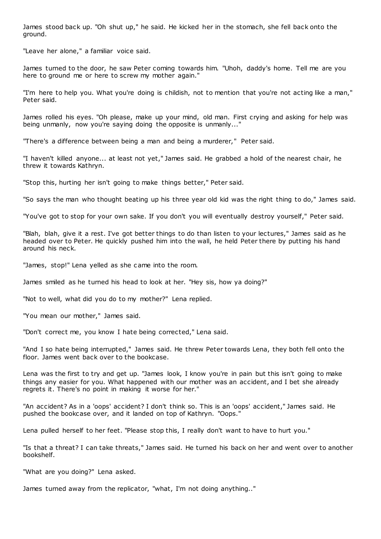James stood back up. "Oh shut up," he said. He kicked her in the stomach, she fell back onto the ground.

"Leave her alone," a familiar voice said.

James turned to the door, he saw Peter coming towards him. "Uhoh, daddy's home. Tell me are you here to ground me or here to screw my mother again."

"I'm here to help you. What you're doing is childish, not to mention that you're not acting like a man," Peter said.

James rolled his eyes. "Oh please, make up your mind, old man. First crying and asking for help was being unmanly, now you're saying doing the opposite is unmanly..."

"There's a difference between being a man and being a murderer," Peter said.

"I haven't killed anyone... at least not yet," James said. He grabbed a hold of the nearest chair, he threw it towards Kathryn.

"Stop this, hurting her isn't going to make things better," Peter said.

"So says the man who thought beating up his three year old kid was the right thing to do," James said.

"You've got to stop for your own sake. If you don't you will eventually destroy yourself," Peter said.

"Blah, blah, give it a rest. I've got better things to do than listen to your lectures," James said as he headed over to Peter. He quickly pushed him into the wall, he held Peter there by putting his hand around his neck.

"James, stop!" Lena yelled as she came into the room.

James smiled as he turned his head to look at her. "Hey sis, how ya doing?"

"Not to well, what did you do to my mother?" Lena replied.

"You mean our mother," James said.

"Don't correct me, you know I hate being corrected," Lena said.

"And I so hate being interrupted," James said. He threw Peter towards Lena, they both fell onto the floor. James went back over to the bookcase.

Lena was the first to try and get up. "James look, I know you're in pain but this isn't going to make things any easier for you. What happened with our mother was an accident, and I bet she already regrets it. There's no point in making it worse for her."

"An accident? As in a 'oops' accident? I don't think so. This is an 'oops' accident," James said. He pushed the bookcase over, and it landed on top of Kathryn. "Oops."

Lena pulled herself to her feet. "Please stop this, I really don't want to have to hurt you."

"Is that a threat? I can take threats," James said. He turned his back on her and went over to another bookshelf.

"What are you doing?" Lena asked.

James turned away from the replicator, "what, I'm not doing anything.."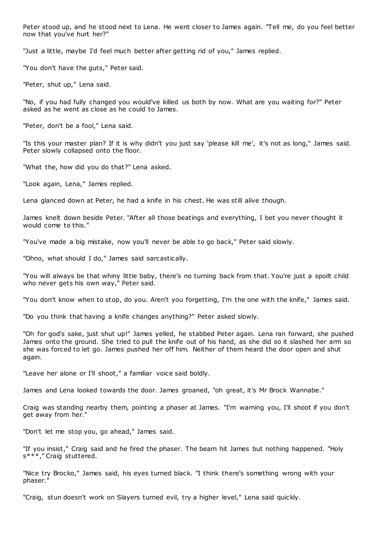Peter stood up, and he stood next to Lena. He went closer to James again. "Tell me, do you feel better now that you've hurt her?"

"Just a little, maybe I'd feel much better after getting rid of you," James replied.

"You don't have the guts," Peter said.

"Peter, shut up," Lena said.

"No, if you had fully changed you would've killed us both by now. What are you waiting for?" Peter asked as he went as close as he could to James.

"Peter, don't be a fool," Lena said.

"Is this your master plan? If it is why didn't you just say 'please kill me', it's not as long," James said. Peter slowly collapsed onto the floor.

"What the, how did you do that?" Lena asked.

"Look again, Lena," James replied.

Lena glanced down at Peter, he had a knife in his chest. He was still alive though.

James knelt down beside Peter. "After all those beatings and everything, I bet you never thought it would come to this."

"You've made a big mistake, now you'll never be able to go back," Peter said slowly.

"Ohno, what should I do," James said sarcastically.

"You will always be that whiny little baby, there's no turning back from that. You're just a spoilt child who never gets his own way," Peter said.

"You don't know when to stop, do you. Aren't you forgetting, I'm the one with the knife," James said.

"Do you think that having a knife changes anything?" Peter asked slowly.

"Oh for god's sake, just shut up!" James yelled, he stabbed Peter again. Lena ran forward, she pushed James onto the ground. She tried to pull the knife out of his hand, as she did so it slashed her arm so she was forced to let go. James pushed her off him. Neither of them heard the door open and shut again.

"Leave her alone or I'll shoot," a familiar voice said boldly.

James and Lena looked towards the door. James groaned, "oh great, it's Mr Brock Wannabe."

Craig was standing nearby them, pointing a phaser at James. "I'm warning you, I'll shoot if you don't get away from her."

"Don't let me stop you, go ahead," James said.

"If you insist," Craig said and he fired the phaser. The beam hit James but nothing happened. "Holy s\*\*\*," Craig stuttered.

"Nice try Brocko," James said, his eyes turned black. "I think there's something wrong with your phaser."

"Craig, stun doesn't work on Slayers turned evil, try a higher level," Lena said quickly.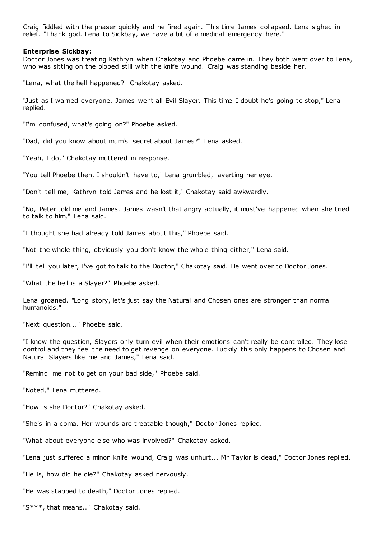Craig fiddled with the phaser quickly and he fired again. This time James collapsed. Lena sighed in relief. "Thank god. Lena to Sickbay, we have a bit of a medical emergency here."

### **Enterprise Sickbay:**

Doctor Jones was treating Kathryn when Chakotay and Phoebe came in. They both went over to Lena, who was sitting on the biobed still with the knife wound. Craig was standing beside her.

"Lena, what the hell happened?" Chakotay asked.

"Just as I warned everyone, James went all Evil Slayer. This time I doubt he's going to stop," Lena replied.

"I'm confused, what's going on?" Phoebe asked.

"Dad, did you know about mum's secret about James?" Lena asked.

"Yeah, I do," Chakotay muttered in response.

"You tell Phoebe then, I shouldn't have to," Lena grumbled, averting her eye.

"Don't tell me, Kathryn told James and he lost it," Chakotay said awkwardly.

"No, Peter told me and James. James wasn't that angry actually, it must've happened when she tried to talk to him," Lena said.

"I thought she had already told James about this," Phoebe said.

"Not the whole thing, obviously you don't know the whole thing either," Lena said.

"I'll tell you later, I've got to talk to the Doctor," Chakotay said. He went over to Doctor Jones.

"What the hell is a Slayer?" Phoebe asked.

Lena groaned. "Long story, let's just say the Natural and Chosen ones are stronger than normal humanoids."

"Next question..." Phoebe said.

"I know the question, Slayers only turn evil when their emotions can't really be controlled. They lose control and they feel the need to get revenge on everyone. Luckily this only happens to Chosen and Natural Slayers like me and James," Lena said.

"Remind me not to get on your bad side," Phoebe said.

"Noted," Lena muttered.

"How is she Doctor?" Chakotay asked.

"She's in a coma. Her wounds are treatable though," Doctor Jones replied.

"What about everyone else who was involved?" Chakotay asked.

"Lena just suffered a minor knife wound, Craig was unhurt... Mr Taylor is dead," Doctor Jones replied.

"He is, how did he die?" Chakotay asked nervously.

"He was stabbed to death," Doctor Jones replied.

"S\*\*\*, that means.." Chakotay said.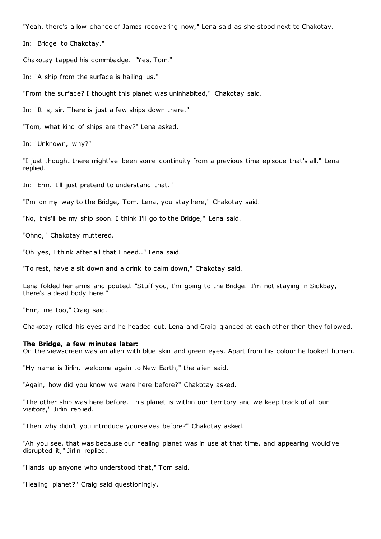"Yeah, there's a low chance of James recovering now," Lena said as she stood next to Chakotay.

In: "Bridge to Chakotay."

Chakotay tapped his commbadge. "Yes, Tom."

In: "A ship from the surface is hailing us."

"From the surface? I thought this planet was uninhabited," Chakotay said.

In: "It is, sir. There is just a few ships down there."

"Tom, what kind of ships are they?" Lena asked.

In: "Unknown, why?"

"I just thought there might've been some continuity from a previous time episode that's all," Lena replied.

In: "Erm, I'll just pretend to understand that."

"I'm on my way to the Bridge, Tom. Lena, you stay here," Chakotay said.

"No, this'll be my ship soon. I think I'll go to the Bridge," Lena said.

"Ohno," Chakotay muttered.

"Oh yes, I think after all that I need.." Lena said.

"To rest, have a sit down and a drink to calm down," Chakotay said.

Lena folded her arms and pouted. "Stuff you, I'm going to the Bridge. I'm not staying in Sickbay, there's a dead body here."

"Erm, me too," Craig said.

Chakotay rolled his eyes and he headed out. Lena and Craig glanced at each other then they followed.

#### **The Bridge, a few minutes later:**

On the viewscreen was an alien with blue skin and green eyes. Apart from his colour he looked human.

"My name is Jirlin, welcome again to New Earth," the alien said.

"Again, how did you know we were here before?" Chakotay asked.

"The other ship was here before. This planet is within our territory and we keep track of all our visitors," Jirlin replied.

"Then why didn't you introduce yourselves before?" Chakotay asked.

"Ah you see, that was because our healing planet was in use at that time, and appearing would've disrupted it," Jirlin replied.

"Hands up anyone who understood that," Tom said.

"Healing planet?" Craig said questioningly.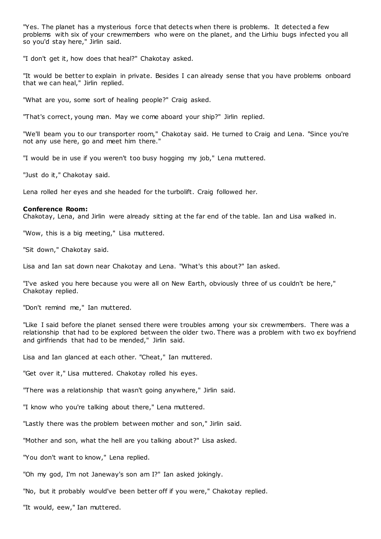"Yes. The planet has a mysterious force that detects when there is problems. It detected a few problems with six of your crewmembers who were on the planet, and the Lirhiu bugs infected you all so you'd stay here," Jirlin said.

"I don't get it, how does that heal?" Chakotay asked.

"It would be better to explain in private. Besides I can already sense that you have problems onboard that we can heal," Jirlin replied.

"What are you, some sort of healing people?" Craig asked.

"That's correct, young man. May we come aboard your ship?" Jirlin replied.

"We'll beam you to our transporter room," Chakotay said. He turned to Craig and Lena. "Since you're not any use here, go and meet him there."

"I would be in use if you weren't too busy hogging my job," Lena muttered.

"Just do it," Chakotay said.

Lena rolled her eyes and she headed for the turbolift. Craig followed her.

# **Conference Room:**

Chakotay, Lena, and Jirlin were already sitting at the far end of the table. Ian and Lisa walked in.

"Wow, this is a big meeting," Lisa muttered.

"Sit down," Chakotay said.

Lisa and Ian sat down near Chakotay and Lena. "What's this about?" Ian asked.

"I've asked you here because you were all on New Earth, obviously three of us couldn't be here," Chakotay replied.

"Don't remind me," Ian muttered.

"Like I said before the planet sensed there were troubles among your six crewmembers. There was a relationship that had to be explored between the older two. There was a problem with two ex boyfriend and girlfriends that had to be mended," Jirlin said.

Lisa and Ian glanced at each other. "Cheat," Ian muttered.

"Get over it," Lisa muttered. Chakotay rolled his eyes.

"There was a relationship that wasn't going anywhere," Jirlin said.

"I know who you're talking about there," Lena muttered.

"Lastly there was the problem between mother and son," Jirlin said.

"Mother and son, what the hell are you talking about?" Lisa asked.

"You don't want to know," Lena replied.

"Oh my god, I'm not Janeway's son am I?" Ian asked jokingly.

"No, but it probably would've been better off if you were," Chakotay replied.

"It would, eew," Ian muttered.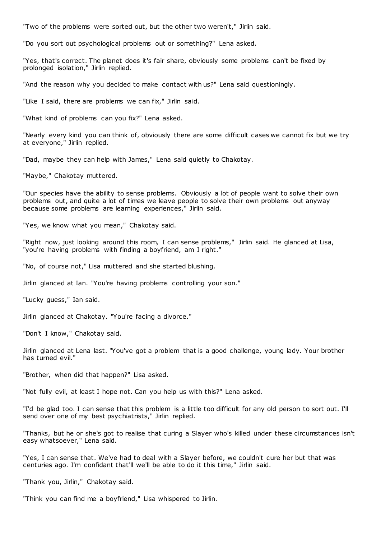"Two of the problems were sorted out, but the other two weren't," Jirlin said.

"Do you sort out psychological problems out or something?" Lena asked.

"Yes, that's correct. The planet does it's fair share, obviously some problems can't be fixed by prolonged isolation," Jirlin replied.

"And the reason why you decided to make contact with us?" Lena said questioningly.

"Like I said, there are problems we can fix," Jirlin said.

"What kind of problems can you fix?" Lena asked.

"Nearly every kind you can think of, obviously there are some difficult cases we cannot fix but we try at everyone," Jirlin replied.

"Dad, maybe they can help with James," Lena said quietly to Chakotay.

"Maybe," Chakotay muttered.

"Our species have the ability to sense problems. Obviously a lot of people want to solve their own problems out, and quite a lot of times we leave people to solve their own problems out anyway because some problems are learning experiences," Jirlin said.

"Yes, we know what you mean," Chakotay said.

"Right now, just looking around this room, I can sense problems," Jirlin said. He glanced at Lisa, "you're having problems with finding a boyfriend, am I right."

"No, of course not," Lisa muttered and she started blushing.

Jirlin glanced at Ian. "You're having problems controlling your son."

"Lucky guess," Ian said.

Jirlin glanced at Chakotay. "You're facing a divorce."

"Don't I know," Chakotay said.

Jirlin glanced at Lena last. "You've got a problem that is a good challenge, young lady. Your brother has turned evil."

"Brother, when did that happen?" Lisa asked.

"Not fully evil, at least I hope not. Can you help us with this?" Lena asked.

"I'd be glad too. I can sense that this problem is a little too difficult for any old person to sort out. I'll send over one of my best psychiatrists," Jirlin replied.

"Thanks, but he or she's got to realise that curing a Slayer who's killed under these circumstances isn't easy whatsoever," Lena said.

"Yes, I can sense that. We've had to deal with a Slayer before, we couldn't cure her but that was centuries ago. I'm confidant that'll we'll be able to do it this time," Jirlin said.

"Thank you, Jirlin," Chakotay said.

"Think you can find me a boyfriend," Lisa whispered to Jirlin.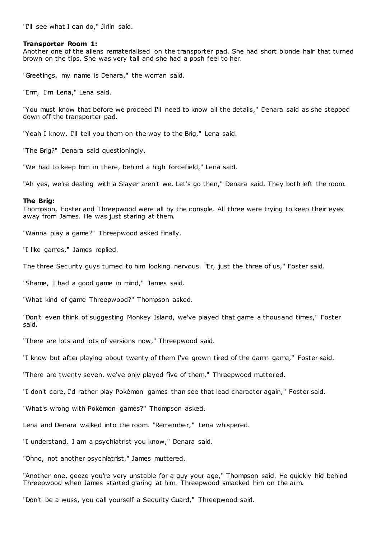"I'll see what I can do," Jirlin said.

## **Transporter Room 1:**

Another one of the aliens rematerialised on the transporter pad. She had short blonde hair that turned brown on the tips. She was very tall and she had a posh feel to her.

"Greetings, my name is Denara," the woman said.

"Erm, I'm Lena," Lena said.

"You must know that before we proceed I'll need to know all the details," Denara said as she stepped down off the transporter pad.

"Yeah I know. I'll tell you them on the way to the Brig," Lena said.

"The Brig?" Denara said questioningly.

"We had to keep him in there, behind a high forcefield," Lena said.

"Ah yes, we're dealing with a Slayer aren't we. Let's go then," Denara said. They both left the room.

#### **The Brig:**

Thompson, Foster and Threepwood were all by the console. All three were trying to keep their eyes away from James. He was just staring at them.

"Wanna play a game?" Threepwood asked finally.

"I like games," James replied.

The three Security guys turned to him looking nervous. "Er, just the three of us," Foster said.

"Shame, I had a good game in mind," James said.

"What kind of game Threepwood?" Thompson asked.

"Don't even think of suggesting Monkey Island, we've played that game a thousand times," Foster said.

"There are lots and lots of versions now," Threepwood said.

"I know but after playing about twenty of them I've grown tired of the damn game," Foster said.

"There are twenty seven, we've only played five of them," Threepwood muttered.

"I don't care, I'd rather play Pokémon games than see that lead character again," Foster said.

"What's wrong with Pokémon games?" Thompson asked.

Lena and Denara walked into the room. "Remember," Lena whispered.

"I understand, I am a psychiatrist you know," Denara said.

"Ohno, not another psychiatrist," James muttered.

"Another one, geeze you're very unstable for a guy your age," Thompson said. He quickly hid behind Threepwood when James started glaring at him. Threepwood smacked him on the arm.

"Don't be a wuss, you call yourself a Security Guard," Threepwood said.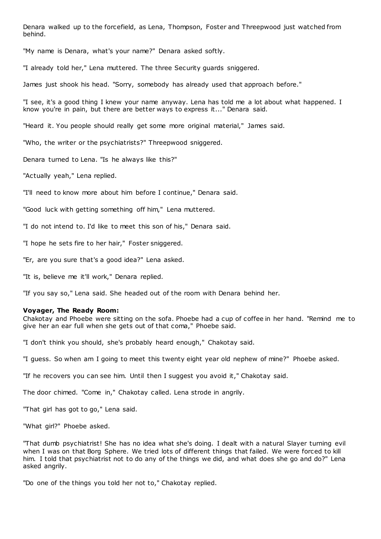Denara walked up to the forcefield, as Lena, Thompson, Foster and Threepwood just watched from behind.

"My name is Denara, what's your name?" Denara asked softly.

"I already told her," Lena muttered. The three Security guards sniggered.

James just shook his head. "Sorry, somebody has already used that approach before."

"I see, it's a good thing I knew your name anyway. Lena has told me a lot about what happened. I know you're in pain, but there are better ways to express it..." Denara said.

"Heard it. You people should really get some more original material," James said.

"Who, the writer or the psychiatrists?" Threepwood sniggered.

Denara turned to Lena. "Is he always like this?"

"Actually yeah," Lena replied.

"I'll need to know more about him before I continue," Denara said.

"Good luck with getting something off him," Lena muttered.

"I do not intend to. I'd like to meet this son of his," Denara said.

"I hope he sets fire to her hair," Foster sniggered.

"Er, are you sure that's a good idea?" Lena asked.

"It is, believe me it'll work," Denara replied.

"If you say so," Lena said. She headed out of the room with Denara behind her.

## **Voyager, The Ready Room:**

Chakotay and Phoebe were sitting on the sofa. Phoebe had a cup of coffee in her hand. "Remind me to give her an ear full when she gets out of that coma," Phoebe said.

"I don't think you should, she's probably heard enough," Chakotay said.

"I guess. So when am I going to meet this twenty eight year old nephew of mine?" Phoebe asked.

"If he recovers you can see him. Until then I suggest you avoid it," Chakotay said.

The door chimed. "Come in," Chakotay called. Lena strode in angrily.

"That girl has got to go," Lena said.

"What girl?" Phoebe asked.

"That dumb psychiatrist! She has no idea what she's doing. I dealt with a natural Slayer turning evil when I was on that Borg Sphere. We tried lots of different things that failed. We were forced to kill him. I told that psychiatrist not to do any of the things we did, and what does she go and do?" Lena asked angrily.

"Do one of the things you told her not to," Chakotay replied.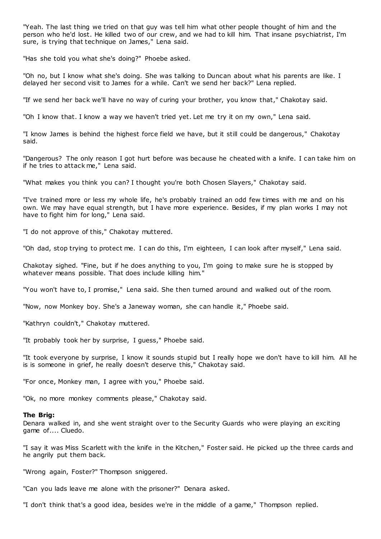"Yeah. The last thing we tried on that guy was tell him what other people thought of him and the person who he'd lost. He killed two of our crew, and we had to kill him. That insane psychiatrist, I'm sure, is trying that technique on James," Lena said.

"Has she told you what she's doing?" Phoebe asked.

"Oh no, but I know what she's doing. She was talking to Duncan about what his parents are like. I delayed her second visit to James for a while. Can't we send her back?" Lena replied.

"If we send her back we'll have no way of curing your brother, you know that," Chakotay said.

"Oh I know that. I know a way we haven't tried yet. Let me try it on my own," Lena said.

"I know James is behind the highest force field we have, but it still could be dangerous," Chakotay said.

"Dangerous? The only reason I got hurt before was because he cheated with a knife. I can take him on if he tries to attack me," Lena said.

"What makes you think you can? I thought you're both Chosen Slayers," Chakotay said.

"I've trained more or less my whole life, he's probably trained an odd few times with me and on his own. We may have equal strength, but I have more experience. Besides, if my plan works I may not have to fight him for long," Lena said.

"I do not approve of this," Chakotay muttered.

"Oh dad, stop trying to protect me. I can do this, I'm eighteen, I can look after myself," Lena said.

Chakotay sighed. "Fine, but if he does anything to you, I'm going to make sure he is stopped by whatever means possible. That does include killing him.

"You won't have to, I promise," Lena said. She then turned around and walked out of the room.

"Now, now Monkey boy. She's a Janeway woman, she can handle it," Phoebe said.

"Kathryn couldn't," Chakotay muttered.

"It probably took her by surprise, I guess," Phoebe said.

"It took everyone by surprise, I know it sounds stupid but I really hope we don't have to kill him. All he is is someone in grief, he really doesn't deserve this," Chakotay said.

"For once, Monkey man, I agree with you," Phoebe said.

"Ok, no more monkey comments please," Chakotay said.

#### **The Brig:**

Denara walked in, and she went straight over to the Security Guards who were playing an exciting game of.... Cluedo.

"I say it was Miss Scarlett with the knife in the Kitchen," Foster said. He picked up the three cards and he angrily put them back.

"Wrong again, Foster?" Thompson sniggered.

"Can you lads leave me alone with the prisoner?" Denara asked.

"I don't think that's a good idea, besides we're in the middle of a game," Thompson replied.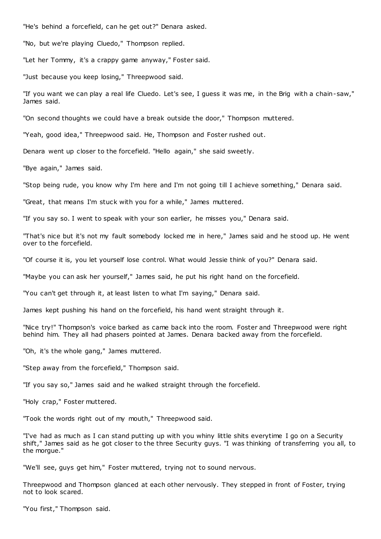"He's behind a forcefield, can he get out?" Denara asked.

"No, but we're playing Cluedo," Thompson replied.

"Let her Tommy, it's a crappy game anyway," Foster said.

"Just because you keep losing," Threepwood said.

"If you want we can play a real life Cluedo. Let's see, I guess it was me, in the Brig with a chain-saw," James said.

"On second thoughts we could have a break outside the door," Thompson muttered.

"Yeah, good idea," Threepwood said. He, Thompson and Foster rushed out.

Denara went up closer to the forcefield. "Hello again," she said sweetly.

"Bye again," James said.

"Stop being rude, you know why I'm here and I'm not going till I achieve something," Denara said.

"Great, that means I'm stuck with you for a while," James muttered.

"If you say so. I went to speak with your son earlier, he misses you," Denara said.

"That's nice but it's not my fault somebody locked me in here," James said and he stood up. He went over to the forcefield.

"Of course it is, you let yourself lose control. What would Jessie think of you?" Denara said.

"Maybe you can ask her yourself," James said, he put his right hand on the forcefield.

"You can't get through it, at least listen to what I'm saying," Denara said.

James kept pushing his hand on the forcefield, his hand went straight through it.

"Nice try!" Thompson's voice barked as came back into the room. Foster and Threepwood were right behind him. They all had phasers pointed at James. Denara backed away from the forcefield.

"Oh, it's the whole gang," James muttered.

"Step away from the forcefield," Thompson said.

"If you say so," James said and he walked straight through the forcefield.

"Holy crap," Foster muttered.

"Took the words right out of my mouth," Threepwood said.

"I've had as much as I can stand putting up with you whiny little shits everytime I go on a Security shift," James said as he got closer to the three Security guys. "I was thinking of transferring you all, to the morgue."

"We'll see, guys get him," Foster muttered, trying not to sound nervous.

Threepwood and Thompson glanced at each other nervously. They stepped in front of Foster, trying not to look scared.

"You first," Thompson said.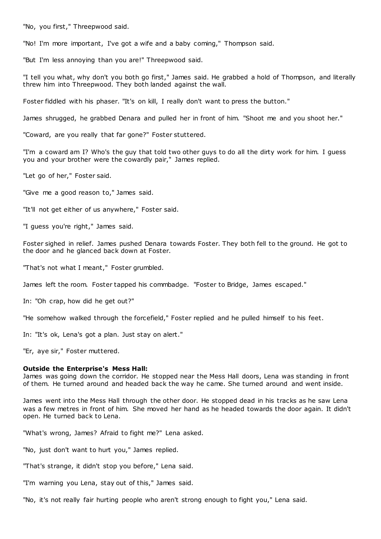"No, you first," Threepwood said.

"No! I'm more important, I've got a wife and a baby coming," Thompson said.

"But I'm less annoying than you are!" Threepwood said.

"I tell you what, why don't you both go first," James said. He grabbed a hold of Thompson, and literally threw him into Threepwood. They both landed against the wall.

Foster fiddled with his phaser. "It's on kill, I really don't want to press the button."

James shrugged, he grabbed Denara and pulled her in front of him. "Shoot me and you shoot her."

"Coward, are you really that far gone?" Foster stuttered.

"I'm a coward am I? Who's the guy that told two other guys to do all the dirty work for him. I guess you and your brother were the cowardly pair," James replied.

"Let go of her," Foster said.

"Give me a good reason to," James said.

"It'll not get either of us anywhere," Foster said.

"I guess you're right," James said.

Foster sighed in relief. James pushed Denara towards Foster. They both fell to the ground. He got to the door and he glanced back down at Foster.

"That's not what I meant," Foster grumbled.

James left the room. Foster tapped his commbadge. "Foster to Bridge, James escaped."

In: "Oh crap, how did he get out?"

"He somehow walked through the forcefield," Foster replied and he pulled himself to his feet.

In: "It's ok, Lena's got a plan. Just stay on alert."

"Er, aye sir," Foster muttered.

#### **Outside the Enterprise's Mess Hall:**

James was going down the corridor. He stopped near the Mess Hall doors, Lena was standing in front of them. He turned around and headed back the way he came. She turned around and went inside.

James went into the Mess Hall through the other door. He stopped dead in his tracks as he saw Lena was a few metres in front of him. She moved her hand as he headed towards the door again. It didn't open. He turned back to Lena.

"What's wrong, James? Afraid to fight me?" Lena asked.

"No, just don't want to hurt you," James replied.

"That's strange, it didn't stop you before," Lena said.

"I'm warning you Lena, stay out of this," James said.

"No, it's not really fair hurting people who aren't strong enough to fight you," Lena said.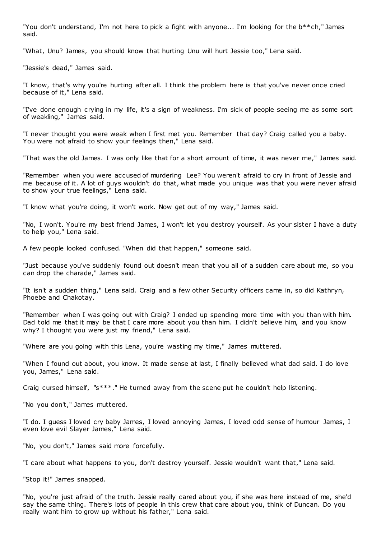"You don't understand, I'm not here to pick a fight with anyone... I'm looking for the b\*\*ch," James said.

"What, Unu? James, you should know that hurting Unu will hurt Jessie too," Lena said.

"Jessie's dead," James said.

"I know, that's why you're hurting after all. I think the problem here is that you've never once cried because of it," Lena said.

"I've done enough crying in my life, it's a sign of weakness. I'm sick of people seeing me as some sort of weakling," James said.

"I never thought you were weak when I first met you. Remember that day? Craig called you a baby. You were not afraid to show your feelings then," Lena said.

"That was the old James. I was only like that for a short amount of time, it was never me," James said.

"Remember when you were accused of murdering Lee? You weren't afraid to cry in front of Jessie and me because of it. A lot of guys wouldn't do that, what made you unique was that you were never afraid to show your true feelings," Lena said.

"I know what you're doing, it won't work. Now get out of my way," James said.

"No, I won't. You're my best friend James, I won't let you destroy yourself. As your sister I have a duty to help you," Lena said.

A few people looked confused. "When did that happen," someone said.

"Just because you've suddenly found out doesn't mean that you all of a sudden care about me, so you can drop the charade," James said.

"It isn't a sudden thing," Lena said. Craig and a few other Security officers came in, so did Kathryn, Phoebe and Chakotay.

"Remember when I was going out with Craig? I ended up spending more time with you than with him. Dad told me that it may be that I care more about you than him. I didn't believe him, and you know why? I thought you were just my friend," Lena said.

"Where are you going with this Lena, you're wasting my time," James muttered.

"When I found out about, you know. It made sense at last, I finally believed what dad said. I do love you, James," Lena said.

Craig cursed himself, "s\*\*\*." He turned away from the scene put he couldn't help listening.

"No you don't," James muttered.

"I do. I guess I loved cry baby James, I loved annoying James, I loved odd sense of humour James, I even love evil Slayer James," Lena said.

"No, you don't," James said more forcefully.

"I care about what happens to you, don't destroy yourself. Jessie wouldn't want that," Lena said.

"Stop it!" James snapped.

"No, you're just afraid of the truth. Jessie really cared about you, if she was here instead of me, she'd say the same thing. There's lots of people in this crew that care about you, think of Duncan. Do you really want him to grow up without his father," Lena said.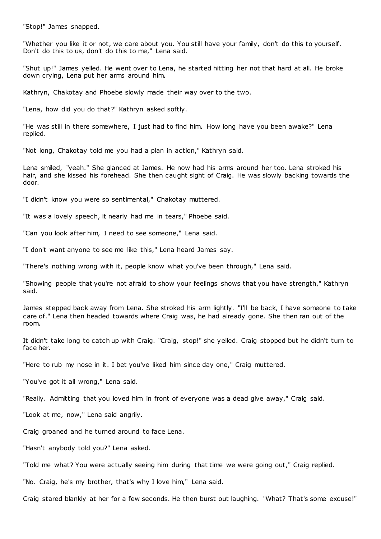"Stop!" James snapped.

"Whether you like it or not, we care about you. You still have your family, don't do this to yourself. Don't do this to us, don't do this to me," Lena said.

"Shut up!" James yelled. He went over to Lena, he started hitting her not that hard at all. He broke down crying, Lena put her arms around him.

Kathryn, Chakotay and Phoebe slowly made their way over to the two.

"Lena, how did you do that?" Kathryn asked softly.

"He was still in there somewhere, I just had to find him. How long have you been awake?" Lena replied.

"Not long, Chakotay told me you had a plan in action," Kathryn said.

Lena smiled, "yeah." She glanced at James. He now had his arms around her too. Lena stroked his hair, and she kissed his forehead. She then caught sight of Craig. He was slowly backing towards the door.

"I didn't know you were so sentimental," Chakotay muttered.

"It was a lovely speech, it nearly had me in tears," Phoebe said.

"Can you look after him, I need to see someone," Lena said.

"I don't want anyone to see me like this," Lena heard James say.

"There's nothing wrong with it, people know what you've been through," Lena said.

"Showing people that you're not afraid to show your feelings shows that you have strength," Kathryn said.

James stepped back away from Lena. She stroked his arm lightly. "I'll be back, I have someone to take care of." Lena then headed towards where Craig was, he had already gone. She then ran out of the room.

It didn't take long to catch up with Craig. "Craig, stop!" she yelled. Craig stopped but he didn't turn to face her.

"Here to rub my nose in it. I bet you've liked him since day one," Craig muttered.

"You've got it all wrong," Lena said.

"Really. Admitting that you loved him in front of everyone was a dead give away," Craig said.

"Look at me, now," Lena said angrily.

Craig groaned and he turned around to face Lena.

"Hasn't anybody told you?" Lena asked.

"Told me what? You were actually seeing him during that time we were going out," Craig replied.

"No. Craig, he's my brother, that's why I love him," Lena said.

Craig stared blankly at her for a few seconds. He then burst out laughing. "What? That's some excuse!"